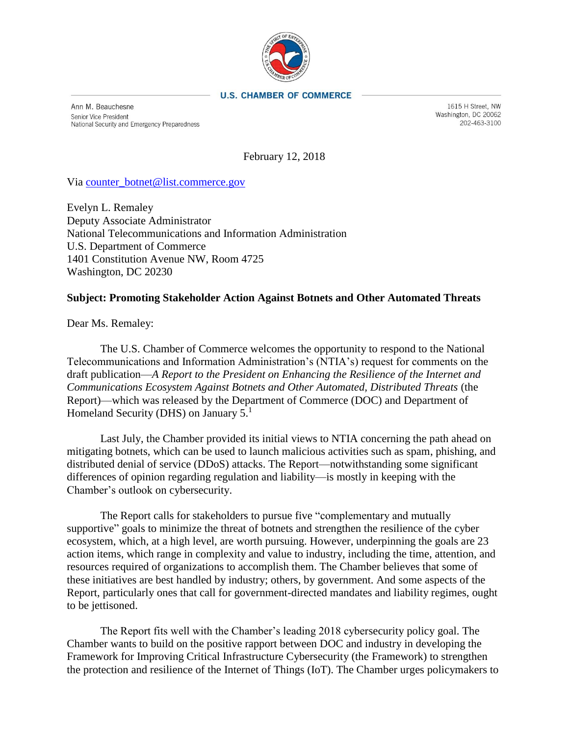

## **U.S. CHAMBER OF COMMERCE**

Ann M. Beauchesne Senior Vice President National Security and Emergency Preparedness

1615 H Street, NW Washington, DC 20062 202-463-3100

February 12, 2018

Via [counter\\_botnet@list.commerce.gov](mailto:counter_botnet@list.commerce.gov)

Evelyn L. Remaley Deputy Associate Administrator National Telecommunications and Information Administration U.S. Department of Commerce 1401 Constitution Avenue NW, Room 4725 Washington, DC 20230

## **Subject: Promoting Stakeholder Action Against Botnets and Other Automated Threats**

Dear Ms. Remaley:

The U.S. Chamber of Commerce welcomes the opportunity to respond to the National Telecommunications and Information Administration's (NTIA's) request for comments on the draft publication—*A Report to the President on Enhancing the Resilience of the Internet and Communications Ecosystem Against Botnets and Other Automated, Distributed Threats* (the Report)—which was released by the Department of Commerce (DOC) and Department of Homeland Security (DHS) on January 5.<sup>1</sup>

Last July, the Chamber provided its initial views to NTIA concerning the path ahead on mitigating botnets, which can be used to launch malicious activities such as spam, phishing, and distributed denial of service (DDoS) attacks. The Report—notwithstanding some significant differences of opinion regarding regulation and liability—is mostly in keeping with the Chamber's outlook on cybersecurity.

The Report calls for stakeholders to pursue five "complementary and mutually supportive" goals to minimize the threat of botnets and strengthen the resilience of the cyber ecosystem, which, at a high level, are worth pursuing. However, underpinning the goals are 23 action items, which range in complexity and value to industry, including the time, attention, and resources required of organizations to accomplish them. The Chamber believes that some of these initiatives are best handled by industry; others, by government. And some aspects of the Report, particularly ones that call for government-directed mandates and liability regimes, ought to be jettisoned.

The Report fits well with the Chamber's leading 2018 cybersecurity policy goal. The Chamber wants to build on the positive rapport between DOC and industry in developing the Framework for Improving Critical Infrastructure Cybersecurity (the Framework) to strengthen the protection and resilience of the Internet of Things (IoT). The Chamber urges policymakers to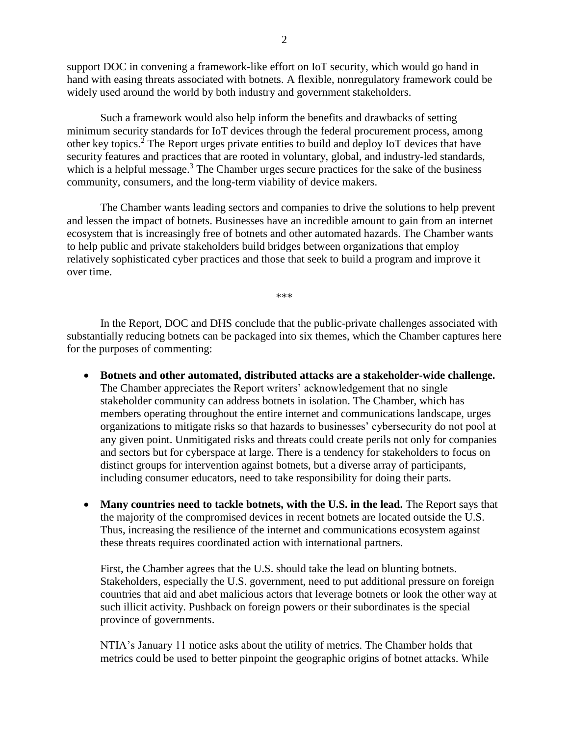support DOC in convening a framework-like effort on IoT security, which would go hand in hand with easing threats associated with botnets. A flexible, nonregulatory framework could be widely used around the world by both industry and government stakeholders.

Such a framework would also help inform the benefits and drawbacks of setting minimum security standards for IoT devices through the federal procurement process, among other key topics.<sup>2</sup> The Report urges private entities to build and deploy IoT devices that have security features and practices that are rooted in voluntary, global, and industry-led standards, which is a helpful message.<sup>3</sup> The Chamber urges secure practices for the sake of the business community, consumers, and the long-term viability of device makers.

The Chamber wants leading sectors and companies to drive the solutions to help prevent and lessen the impact of botnets. Businesses have an incredible amount to gain from an internet ecosystem that is increasingly free of botnets and other automated hazards. The Chamber wants to help public and private stakeholders build bridges between organizations that employ relatively sophisticated cyber practices and those that seek to build a program and improve it over time.

\*\*\*

In the Report, DOC and DHS conclude that the public-private challenges associated with substantially reducing botnets can be packaged into six themes, which the Chamber captures here for the purposes of commenting:

- **Botnets and other automated, distributed attacks are a stakeholder-wide challenge.** The Chamber appreciates the Report writers' acknowledgement that no single stakeholder community can address botnets in isolation. The Chamber, which has members operating throughout the entire internet and communications landscape, urges organizations to mitigate risks so that hazards to businesses' cybersecurity do not pool at any given point. Unmitigated risks and threats could create perils not only for companies and sectors but for cyberspace at large. There is a tendency for stakeholders to focus on distinct groups for intervention against botnets, but a diverse array of participants, including consumer educators, need to take responsibility for doing their parts.
- **Many countries need to tackle botnets, with the U.S. in the lead.** The Report says that the majority of the compromised devices in recent botnets are located outside the U.S. Thus, increasing the resilience of the internet and communications ecosystem against these threats requires coordinated action with international partners.

First, the Chamber agrees that the U.S. should take the lead on blunting botnets. Stakeholders, especially the U.S. government, need to put additional pressure on foreign countries that aid and abet malicious actors that leverage botnets or look the other way at such illicit activity. Pushback on foreign powers or their subordinates is the special province of governments.

NTIA's January 11 notice asks about the utility of metrics. The Chamber holds that metrics could be used to better pinpoint the geographic origins of botnet attacks. While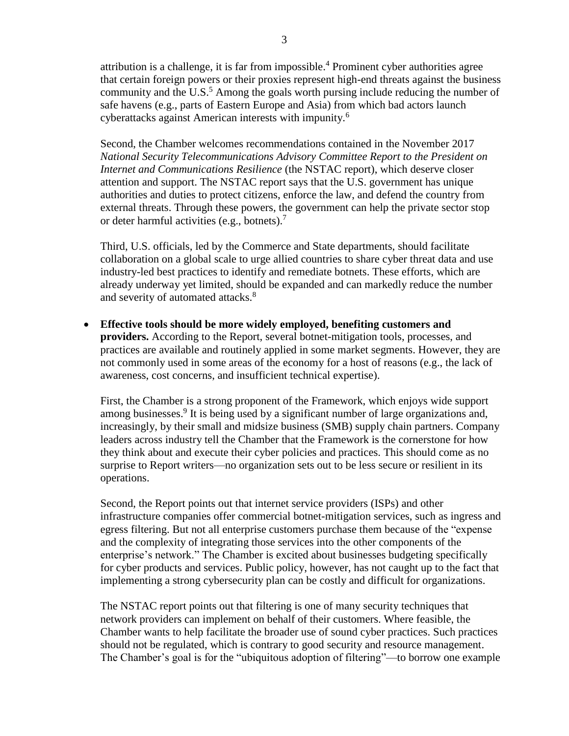attribution is a challenge, it is far from impossible.<sup>4</sup> Prominent cyber authorities agree that certain foreign powers or their proxies represent high-end threats against the business community and the U.S.<sup>5</sup> Among the goals worth pursing include reducing the number of safe havens (e.g., parts of Eastern Europe and Asia) from which bad actors launch cyberattacks against American interests with impunity.<sup>6</sup>

Second, the Chamber welcomes recommendations contained in the November 2017 *National Security Telecommunications Advisory Committee Report to the President on Internet and Communications Resilience* (the NSTAC report), which deserve closer attention and support. The NSTAC report says that the U.S. government has unique authorities and duties to protect citizens, enforce the law, and defend the country from external threats. Through these powers, the government can help the private sector stop or deter harmful activities (e.g., botnets). 7

Third, U.S. officials, led by the Commerce and State departments, should facilitate collaboration on a global scale to urge allied countries to share cyber threat data and use industry-led best practices to identify and remediate botnets. These efforts, which are already underway yet limited, should be expanded and can markedly reduce the number and severity of automated attacks.<sup>8</sup>

 **Effective tools should be more widely employed, benefiting customers and providers.** According to the Report, several botnet-mitigation tools, processes, and practices are available and routinely applied in some market segments. However, they are not commonly used in some areas of the economy for a host of reasons (e.g., the lack of awareness, cost concerns, and insufficient technical expertise).

First, the Chamber is a strong proponent of the Framework, which enjoys wide support among businesses.<sup>9</sup> It is being used by a significant number of large organizations and, increasingly, by their small and midsize business (SMB) supply chain partners. Company leaders across industry tell the Chamber that the Framework is the cornerstone for how they think about and execute their cyber policies and practices. This should come as no surprise to Report writers—no organization sets out to be less secure or resilient in its operations.

Second, the Report points out that internet service providers (ISPs) and other infrastructure companies offer commercial botnet-mitigation services, such as ingress and egress filtering. But not all enterprise customers purchase them because of the "expense and the complexity of integrating those services into the other components of the enterprise's network." The Chamber is excited about businesses budgeting specifically for cyber products and services. Public policy, however, has not caught up to the fact that implementing a strong cybersecurity plan can be costly and difficult for organizations.

The NSTAC report points out that filtering is one of many security techniques that network providers can implement on behalf of their customers. Where feasible, the Chamber wants to help facilitate the broader use of sound cyber practices. Such practices should not be regulated, which is contrary to good security and resource management. The Chamber's goal is for the "ubiquitous adoption of filtering"—to borrow one example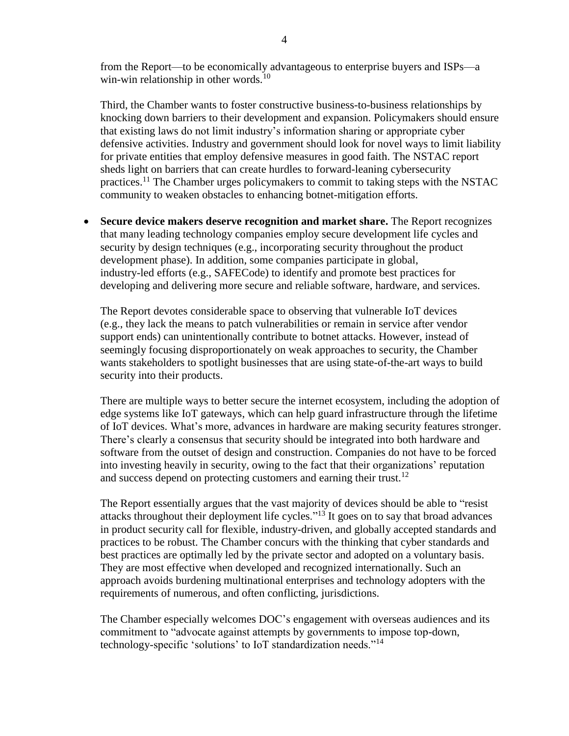from the Report—to be economically advantageous to enterprise buyers and ISPs—a win-win relationship in other words. $10$ 

Third, the Chamber wants to foster constructive business-to-business relationships by knocking down barriers to their development and expansion. Policymakers should ensure that existing laws do not limit industry's information sharing or appropriate cyber defensive activities. Industry and government should look for novel ways to limit liability for private entities that employ defensive measures in good faith. The NSTAC report sheds light on barriers that can create hurdles to forward-leaning cybersecurity practices.<sup>11</sup> The Chamber urges policymakers to commit to taking steps with the NSTAC community to weaken obstacles to enhancing botnet-mitigation efforts.

 **Secure device makers deserve recognition and market share.** The Report recognizes that many leading technology companies employ secure development life cycles and security by design techniques (e.g., incorporating security throughout the product development phase). In addition, some companies participate in global, industry-led efforts (e.g., SAFECode) to identify and promote best practices for developing and delivering more secure and reliable software, hardware, and services.

The Report devotes considerable space to observing that vulnerable IoT devices (e.g., they lack the means to patch vulnerabilities or remain in service after vendor support ends) can unintentionally contribute to botnet attacks. However, instead of seemingly focusing disproportionately on weak approaches to security, the Chamber wants stakeholders to spotlight businesses that are using state-of-the-art ways to build security into their products.

There are multiple ways to better secure the internet ecosystem, including the adoption of edge systems like IoT gateways, which can help guard infrastructure through the lifetime of IoT devices. What's more, advances in hardware are making security features stronger. There's clearly a consensus that security should be integrated into both hardware and software from the outset of design and construction. Companies do not have to be forced into investing heavily in security, owing to the fact that their organizations' reputation and success depend on protecting customers and earning their trust.<sup>12</sup>

The Report essentially argues that the vast majority of devices should be able to "resist attacks throughout their deployment life cycles."<sup>13</sup> It goes on to say that broad advances in product security call for flexible, industry-driven, and globally accepted standards and practices to be robust. The Chamber concurs with the thinking that cyber standards and best practices are optimally led by the private sector and adopted on a voluntary basis. They are most effective when developed and recognized internationally. Such an approach avoids burdening multinational enterprises and technology adopters with the requirements of numerous, and often conflicting, jurisdictions.

The Chamber especially welcomes DOC's engagement with overseas audiences and its commitment to "advocate against attempts by governments to impose top-down, technology-specific 'solutions' to IoT standardization needs."<sup>14</sup>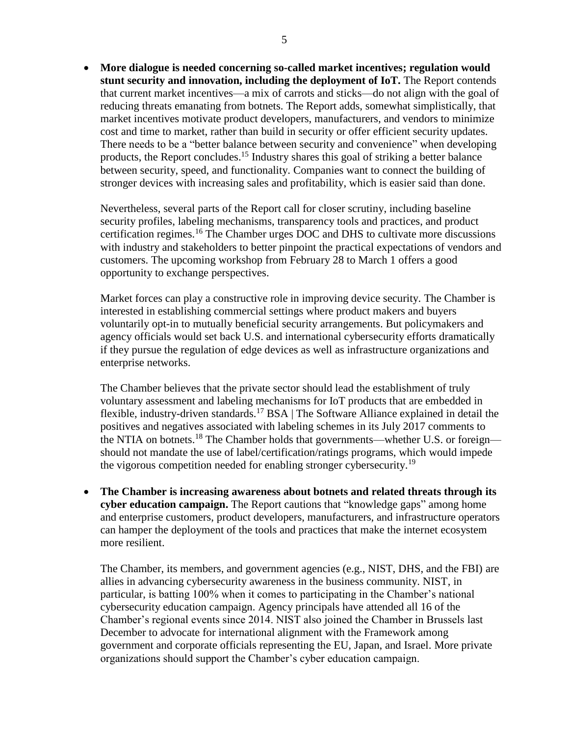**More dialogue is needed concerning so-called market incentives; regulation would stunt security and innovation, including the deployment of IoT.** The Report contends that current market incentives—a mix of carrots and sticks—do not align with the goal of reducing threats emanating from botnets. The Report adds, somewhat simplistically, that market incentives motivate product developers, manufacturers, and vendors to minimize cost and time to market, rather than build in security or offer efficient security updates. There needs to be a "better balance between security and convenience" when developing products, the Report concludes.<sup>15</sup> Industry shares this goal of striking a better balance between security, speed, and functionality. Companies want to connect the building of stronger devices with increasing sales and profitability, which is easier said than done.

Nevertheless, several parts of the Report call for closer scrutiny, including baseline security profiles, labeling mechanisms, transparency tools and practices, and product certification regimes.<sup>16</sup> The Chamber urges DOC and DHS to cultivate more discussions with industry and stakeholders to better pinpoint the practical expectations of vendors and customers. The upcoming workshop from February 28 to March 1 offers a good opportunity to exchange perspectives.

Market forces can play a constructive role in improving device security. The Chamber is interested in establishing commercial settings where product makers and buyers voluntarily opt-in to mutually beneficial security arrangements. But policymakers and agency officials would set back U.S. and international cybersecurity efforts dramatically if they pursue the regulation of edge devices as well as infrastructure organizations and enterprise networks.

The Chamber believes that the private sector should lead the establishment of truly voluntary assessment and labeling mechanisms for IoT products that are embedded in flexible, industry-driven standards.<sup>17</sup> BSA | The Software Alliance explained in detail the positives and negatives associated with labeling schemes in its July 2017 comments to the NTIA on botnets.<sup>18</sup> The Chamber holds that governments—whether U.S. or foreign should not mandate the use of label/certification/ratings programs, which would impede the vigorous competition needed for enabling stronger cybersecurity.<sup>19</sup>

 **The Chamber is increasing awareness about botnets and related threats through its cyber education campaign.** The Report cautions that "knowledge gaps" among home and enterprise customers, product developers, manufacturers, and infrastructure operators can hamper the deployment of the tools and practices that make the internet ecosystem more resilient.

The Chamber, its members, and government agencies (e.g., NIST, DHS, and the FBI) are allies in advancing cybersecurity awareness in the business community. NIST, in particular, is batting 100% when it comes to participating in the Chamber's national cybersecurity education campaign. Agency principals have attended all 16 of the Chamber's regional events since 2014. NIST also joined the Chamber in Brussels last December to advocate for international alignment with the Framework among government and corporate officials representing the EU, Japan, and Israel. More private organizations should support the Chamber's cyber education campaign.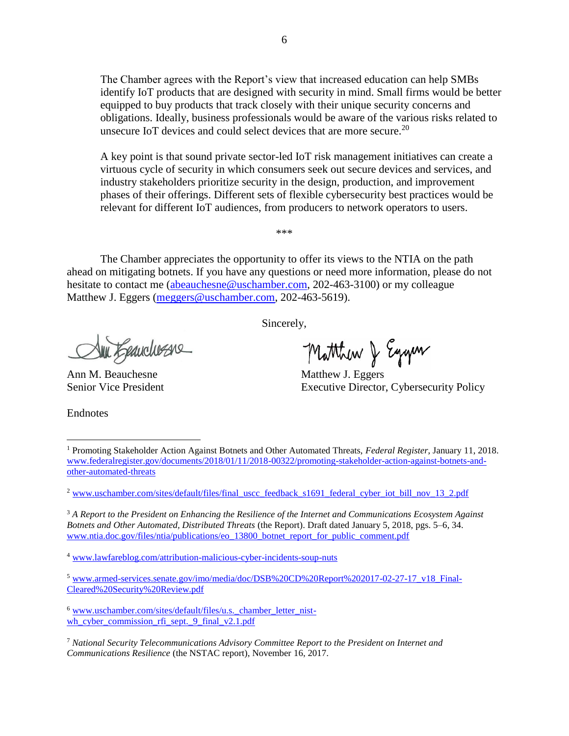The Chamber agrees with the Report's view that increased education can help SMBs identify IoT products that are designed with security in mind. Small firms would be better equipped to buy products that track closely with their unique security concerns and obligations. Ideally, business professionals would be aware of the various risks related to unsecure IoT devices and could select devices that are more secure.<sup>20</sup>

A key point is that sound private sector-led IoT risk management initiatives can create a virtuous cycle of security in which consumers seek out secure devices and services, and industry stakeholders prioritize security in the design, production, and improvement phases of their offerings. Different sets of flexible cybersecurity best practices would be relevant for different IoT audiences, from producers to network operators to users.

The Chamber appreciates the opportunity to offer its views to the NTIA on the path ahead on mitigating botnets. If you have any questions or need more information, please do not hesitate to contact me [\(abeauchesne@uschamber.com,](mailto:abeauchesne@uschamber.com) 202-463-3100) or my colleague Matthew J. Eggers [\(meggers@uschamber.com,](mailto:meggers@uschamber.com) 202-463-5619).

\*\*\*

Sincerely,

Sun Eganchesse

Ann M. Beauchesne Matthew J. Eggers

Matthew & Eggen

Senior Vice President Executive Director, Cybersecurity Policy

Endnotes

 $\overline{a}$ 

<sup>3</sup> *A Report to the President on Enhancing the Resilience of the Internet and Communications Ecosystem Against Botnets and Other Automated, Distributed Threats* (the Report). Draft dated January 5, 2018, pgs. 5–6, 34. [www.ntia.doc.gov/files/ntia/publications/eo\\_13800\\_botnet\\_report\\_for\\_public\\_comment.pdf](http://www.ntia.doc.gov/files/ntia/publications/eo_13800_botnet_report_for_public_comment.pdf)

<sup>4</sup> [www.lawfareblog.com/attribution-malicious-cyber-incidents-soup-nuts](http://www.lawfareblog.com/attribution-malicious-cyber-incidents-soup-nuts)

<sup>1</sup> Promoting Stakeholder Action Against Botnets and Other Automated Threats, *Federal Register*, January 11, 2018. [www.federalregister.gov/documents/2018/01/11/2018-00322/promoting-stakeholder-action-against-botnets-and](http://www.federalregister.gov/documents/2018/01/11/2018-00322/promoting-stakeholder-action-against-botnets-and-other-automated-threats)[other-automated-threats](http://www.federalregister.gov/documents/2018/01/11/2018-00322/promoting-stakeholder-action-against-botnets-and-other-automated-threats)

<sup>&</sup>lt;sup>2</sup> [www.uschamber.com/sites/default/files/final\\_uscc\\_feedback\\_s1691\\_federal\\_cyber\\_iot\\_bill\\_nov\\_13\\_2.pdf](http://www.uschamber.com/sites/default/files/final_uscc_feedback_s1691_federal_cyber_iot_bill_nov_13_2.pdf)

<sup>5</sup> [www.armed-services.senate.gov/imo/media/doc/DSB%20CD%20Report%202017-02-27-17\\_v18\\_Final-](http://www.armed-services.senate.gov/imo/media/doc/DSB%20CD%20Report%202017-02-27-17_v18_Final-Cleared%20Security%20Review.pdf)[Cleared%20Security%20Review.pdf](http://www.armed-services.senate.gov/imo/media/doc/DSB%20CD%20Report%202017-02-27-17_v18_Final-Cleared%20Security%20Review.pdf)

<sup>6</sup> [www.uschamber.com/sites/default/files/u.s.\\_chamber\\_letter\\_nist](http://www.uschamber.com/sites/default/files/u.s._chamber_letter_nist-wh_cyber_commission_rfi_sept._9_final_v2.1.pdf)wh cyber commission rfi\_sept. 9 final  $v2.1.$ pdf

<sup>7</sup> *National Security Telecommunications Advisory Committee Report to the President on Internet and Communications Resilience* (the NSTAC report), November 16, 2017.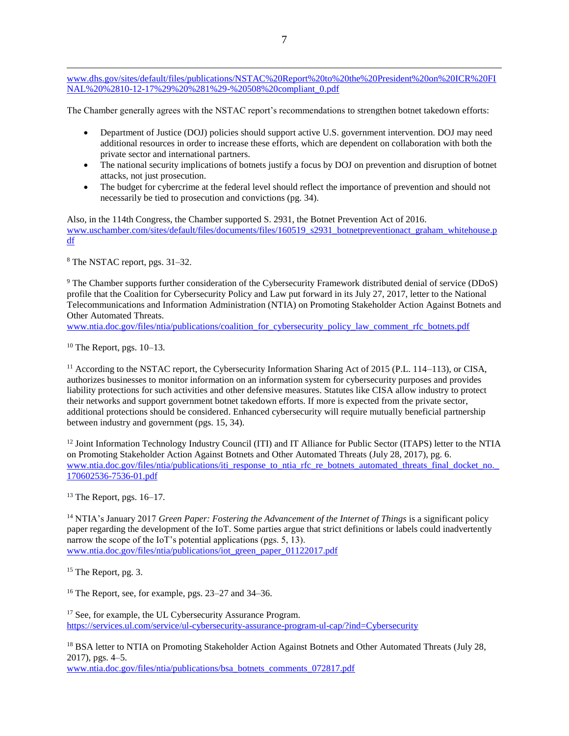[www.dhs.gov/sites/default/files/publications/NSTAC%20Report%20to%20the%20President%20on%20ICR%20FI](http://www.dhs.gov/sites/default/files/publications/NSTAC%20Report%20to%20the%20President%20on%20ICR%20FINAL%20%2810-12-17%29%20%281%29-%20508%20compliant_0.pdf) [NAL%20%2810-12-17%29%20%281%29-%20508%20compliant\\_0.pdf](http://www.dhs.gov/sites/default/files/publications/NSTAC%20Report%20to%20the%20President%20on%20ICR%20FINAL%20%2810-12-17%29%20%281%29-%20508%20compliant_0.pdf)

The Chamber generally agrees with the NSTAC report's recommendations to strengthen botnet takedown efforts:

- Department of Justice (DOJ) policies should support active U.S. government intervention. DOJ may need additional resources in order to increase these efforts, which are dependent on collaboration with both the private sector and international partners.
- The national security implications of botnets justify a focus by DOJ on prevention and disruption of botnet attacks, not just prosecution.
- The budget for cybercrime at the federal level should reflect the importance of prevention and should not necessarily be tied to prosecution and convictions (pg. 34).

Also, in the 114th Congress, the Chamber supported S. 2931, the Botnet Prevention Act of 2016. [www.uschamber.com/sites/default/files/documents/files/160519\\_s2931\\_botnetpreventionact\\_graham\\_whitehouse.p](http://www.uschamber.com/sites/default/files/documents/files/160519_s2931_botnetpreventionact_graham_whitehouse.pdf) [df](http://www.uschamber.com/sites/default/files/documents/files/160519_s2931_botnetpreventionact_graham_whitehouse.pdf)

<sup>8</sup> The NSTAC report, pgs. 31–32.

 $\overline{a}$ 

<sup>9</sup> The Chamber supports further consideration of the Cybersecurity Framework distributed denial of service (DDoS) profile that the Coalition for Cybersecurity Policy and Law put forward in its July 27, 2017, letter to the National Telecommunications and Information Administration (NTIA) on Promoting Stakeholder Action Against Botnets and Other Automated Threats.

[www.ntia.doc.gov/files/ntia/publications/coalition\\_for\\_cybersecurity\\_policy\\_law\\_comment\\_rfc\\_botnets.pdf](http://www.ntia.doc.gov/files/ntia/publications/coalition_for_cybersecurity_policy_law_comment_rfc_botnets.pdf)

 $10$  The Report, pgs.  $10-13$ .

<sup>11</sup> According to the NSTAC report, the Cybersecurity Information Sharing Act of 2015 (P.L. 114–113), or CISA, authorizes businesses to monitor information on an information system for cybersecurity purposes and provides liability protections for such activities and other defensive measures. Statutes like CISA allow industry to protect their networks and support government botnet takedown efforts. If more is expected from the private sector, additional protections should be considered. Enhanced cybersecurity will require mutually beneficial partnership between industry and government (pgs. 15, 34).

<sup>12</sup> Joint Information Technology Industry Council (ITI) and IT Alliance for Public Sector (ITAPS) letter to the NTIA on Promoting Stakeholder Action Against Botnets and Other Automated Threats (July 28, 2017), pg. 6. www.ntia.doc.gov/files/ntia/publications/iti\_response\_to\_ntia\_rfc\_re\_botnets\_automated\_threats\_final\_docket\_no. [170602536-7536-01.pdf](http://www.ntia.doc.gov/files/ntia/publications/iti_response_to_ntia_rfc_re_botnets_automated_threats_final_docket_no._170602536-7536-01.pdf)

 $13$  The Report, pgs. 16–17.

<sup>14</sup> NTIA's January 2017 *Green Paper: Fostering the Advancement of the Internet of Things* is a significant policy paper regarding the development of the IoT. Some parties argue that strict definitions or labels could inadvertently narrow the scope of the IoT's potential applications (pgs. 5, 13). [www.ntia.doc.gov/files/ntia/publications/iot\\_green\\_paper\\_01122017.pdf](http://www.ntia.doc.gov/files/ntia/publications/iot_green_paper_01122017.pdf)

<sup>15</sup> The Report, pg. 3.

<sup>16</sup> The Report, see, for example, pgs. 23–27 and 34–36.

<sup>17</sup> See, for example, the UL Cybersecurity Assurance Program. <https://services.ul.com/service/ul-cybersecurity-assurance-program-ul-cap/?ind=Cybersecurity>

<sup>18</sup> BSA letter to NTIA on Promoting Stakeholder Action Against Botnets and Other Automated Threats (July 28, 2017), pgs. 4–5.

[www.ntia.doc.gov/files/ntia/publications/bsa\\_botnets\\_comments\\_072817.pdf](http://www.ntia.doc.gov/files/ntia/publications/bsa_botnets_comments_072817.pdf)